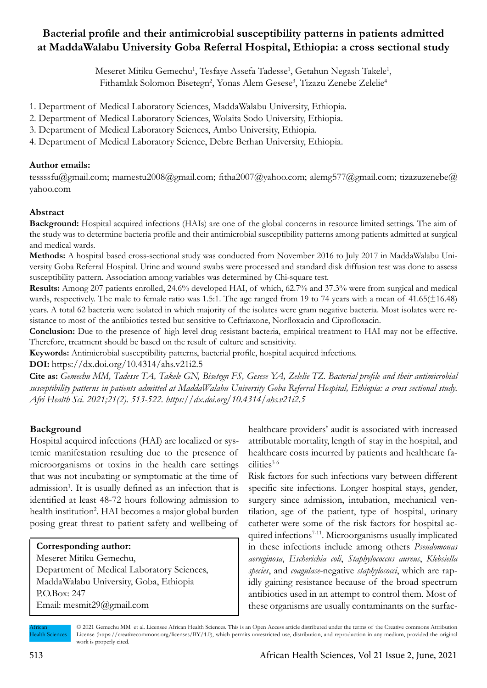# **Bacterial profile and their antimicrobial susceptibility patterns in patients admitted at MaddaWalabu University Goba Referral Hospital, Ethiopia: a cross sectional study**

Meseret Mitiku Gemechu<sup>1</sup>, Tesfaye Assefa Tadesse<sup>1</sup>, Getahun Negash Takele<sup>1</sup>, Fithamlak Solomon Bisetegn<sup>2</sup>, Yonas Alem Gesese<sup>3</sup>, Tizazu Zenebe Zelelie<sup>4</sup>

- 1. Department of Medical Laboratory Sciences, MaddaWalabu University, Ethiopia.
- 2. Department of Medical Laboratory Sciences, Wolaita Sodo University, Ethiopia.
- 3. Department of Medical Laboratory Sciences, Ambo University, Ethiopia.
- 4. Department of Medical Laboratory Science, Debre Berhan University, Ethiopia.

# **Author emails:**

tessssfu@gmail.com; mamestu2008@gmail.com; fitha2007@yahoo.com; alemg577@gmail.com; tizazuzenebe@ yahoo.com

# **Abstract**

**Background:** Hospital acquired infections (HAIs) are one of the global concerns in resource limited settings. The aim of the study was to determine bacteria profile and their antimicrobial susceptibility patterns among patients admitted at surgical and medical wards.

**Methods:** A hospital based cross-sectional study was conducted from November 2016 to July 2017 in MaddaWalabu University Goba Referral Hospital. Urine and wound swabs were processed and standard disk diffusion test was done to assess susceptibility pattern. Association among variables was determined by Chi-square test.

**Results:** Among 207 patients enrolled, 24.6% developed HAI, of which, 62.7% and 37.3% were from surgical and medical wards, respectively. The male to female ratio was 1.5:1. The age ranged from 19 to 74 years with a mean of 41.65( $\pm$ 16.48) years. A total 62 bacteria were isolated in which majority of the isolates were gram negative bacteria. Most isolates were resistance to most of the antibiotics tested but sensitive to Ceftriaxone, Norfloxacin and Ciprofloxacin.

**Conclusion:** Due to the presence of high level drug resistant bacteria, empirical treatment to HAI may not be effective. Therefore, treatment should be based on the result of culture and sensitivity.

**Keywords:** Antimicrobial susceptibility patterns, bacterial profile, hospital acquired infections.

**DOI:** https://dx.doi.org/10.4314/ahs.v21i2.5

**Cite as:** *Gemechu MM, Tadesse TA, Takele GN, Bisetegn FS, Gesese YA, Zelelie TZ. Bacterial profile and their antimicrobial susceptibility patterns in patients admitted at MaddaWalabu University Goba Referral Hospital, Ethiopia: a cross sectional study. Afri Health Sci. 2021;21(2). 513-522. https://dx.doi.org/10.4314/ahs.v21i2.5*

# **Background**

Hospital acquired infections (HAI) are localized or systemic manifestation resulting due to the presence of microorganisms or toxins in the health care settings that was not incubating or symptomatic at the time of admission<sup>1</sup>. It is usually defined as an infection that is identified at least 48-72 hours following admission to health institution<sup>2</sup>. HAI becomes a major global burden posing great threat to patient safety and wellbeing of

# **Corresponding author:**

Meseret Mitiku Gemechu, Department of Medical Laboratory Sciences, MaddaWalabu University, Goba, Ethiopia P.O.Box: 247 Email: mesmit29@gmail.com

healthcare providers' audit is associated with increased attributable mortality, length of stay in the hospital, and healthcare costs incurred by patients and healthcare facilities<sup>3-6</sup>

Risk factors for such infections vary between different specific site infections. Longer hospital stays, gender, surgery since admission, intubation, mechanical ventilation, age of the patient, type of hospital, urinary catheter were some of the risk factors for hospital acquired infections<sup>7-11</sup>. Microorganisms usually implicated in these infections include among others *Pseudomonas aeruginosa*, *Escherichia coli*, *Staphylococcus aureus*, *Klebsiella species*, and *coagulase*-negative *staphylococci*, which are rapidly gaining resistance because of the broad spectrum antibiotics used in an attempt to control them. Most of these organisms are usually contaminants on the surfac-

African Health Sciences © 2021 Gemechu MM et al. Licensee African Health Sciences. This is an Open Access article distributed under the terms of the Creative commons Attribution License (https://creativecommons.org/licenses/BY/4.0), which permits unrestricted use, distribution, and reproduction in any medium, provided the original work is properly cited.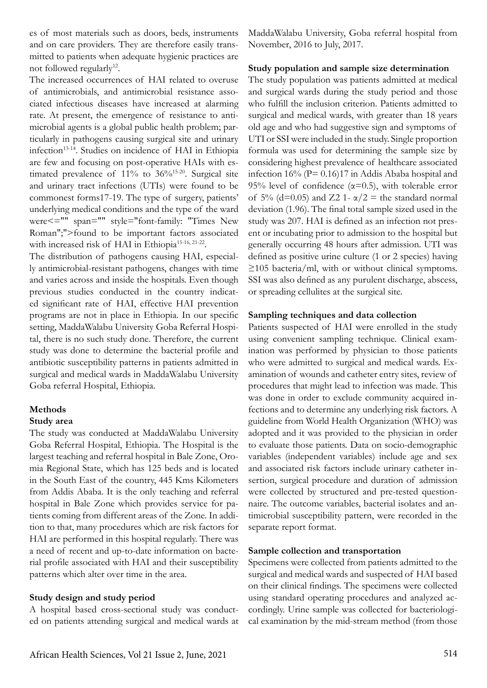es of most materials such as doors, beds, instruments and on care providers. They are therefore easily transmitted to patients when adequate hygienic practices are not followed regularly<sup>12</sup>.

The increased occurrences of HAI related to overuse of antimicrobials, and antimicrobial resistance associated infectious diseases have increased at alarming rate. At present, the emergence of resistance to antimicrobial agents is a global public health problem; particularly in pathogens causing surgical site and urinary infection<sup>13-14</sup>. Studies on incidence of HAI in Ethiopia are few and focusing on post-operative HAIs with estimated prevalence of  $11\%$  to  $36\%$ <sup>15-20</sup>. Surgical site and urinary tract infections (UTIs) were found to be commonest forms17-19. The type of surgery, patients' underlying medical conditions and the type of the ward were<="" span="" style="font-family: "Times New Roman";">found to be important factors associated with increased risk of HAI in Ethiopia<sup>15-16, 21-22</sup>.

The distribution of pathogens causing HAI, especially antimicrobial-resistant pathogens, changes with time and varies across and inside the hospitals. Even though previous studies conducted in the country indicated significant rate of HAI, effective HAI prevention programs are not in place in Ethiopia. In our specific setting, MaddaWalabu University Goba Referral Hospital, there is no such study done. Therefore, the current study was done to determine the bacterial profile and antibiotic susceptibility patterns in patients admitted in surgical and medical wards in MaddaWalabu University Goba referral Hospital, Ethiopia.

#### **Methods**

#### **Study area**

The study was conducted at MaddaWalabu University Goba Referral Hospital, Ethiopia. The Hospital is the largest teaching and referral hospital in Bale Zone, Oromia Regional State, which has 125 beds and is located in the South East of the country, 445 Kms Kilometers from Addis Ababa. It is the only teaching and referral hospital in Bale Zone which provides service for patients coming from different areas of the Zone. In addition to that, many procedures which are risk factors for HAI are performed in this hospital regularly. There was a need of recent and up-to-date information on bacterial profile associated with HAI and their susceptibility patterns which alter over time in the area.

# **Study design and study period**

A hospital based cross-sectional study was conducted on patients attending surgical and medical wards at MaddaWalabu University, Goba referral hospital from November, 2016 to July, 2017.

#### **Study population and sample size determination**

The study population was patients admitted at medical and surgical wards during the study period and those who fulfill the inclusion criterion. Patients admitted to surgical and medical wards, with greater than 18 years old age and who had suggestive sign and symptoms of UTI or SSI were included in the study. Single proportion formula was used for determining the sample size by considering highest prevalence of healthcare associated infection  $16\%$  (P= 0.16)17 in Addis Ababa hospital and 95% level of confidence ( $\alpha$ =0.5), with tolerable error of 5% (d=0.05) and Z2 1- $\alpha/2$  = the standard normal deviation (1.96). The final total sample sized used in the study was 207. HAI is defined as an infection not present or incubating prior to admission to the hospital but generally occurring 48 hours after admission. UTI was defined as positive urine culture (1 or 2 species) having  $\geq$ 105 bacteria/ml, with or without clinical symptoms. SSI was also defined as any purulent discharge, abscess, or spreading cellulites at the surgical site.

### **Sampling techniques and data collection**

Patients suspected of HAI were enrolled in the study using convenient sampling technique. Clinical examination was performed by physician to those patients who were admitted to surgical and medical wards. Examination of wounds and catheter entry sites, review of procedures that might lead to infection was made. This was done in order to exclude community acquired infections and to determine any underlying risk factors. A guideline from World Health Organization (WHO) was adopted and it was provided to the physician in order to evaluate those patients. Data on socio-demographic variables (independent variables) include age and sex and associated risk factors include urinary catheter insertion, surgical procedure and duration of admission were collected by structured and pre-tested questionnaire. The outcome variables, bacterial isolates and antimicrobial susceptibility pattern, were recorded in the separate report format.

#### **Sample collection and transportation**

Specimens were collected from patients admitted to the surgical and medical wards and suspected of HAI based on their clinical findings. The specimens were collected using standard operating procedures and analyzed accordingly. Urine sample was collected for bacteriological examination by the mid-stream method (from those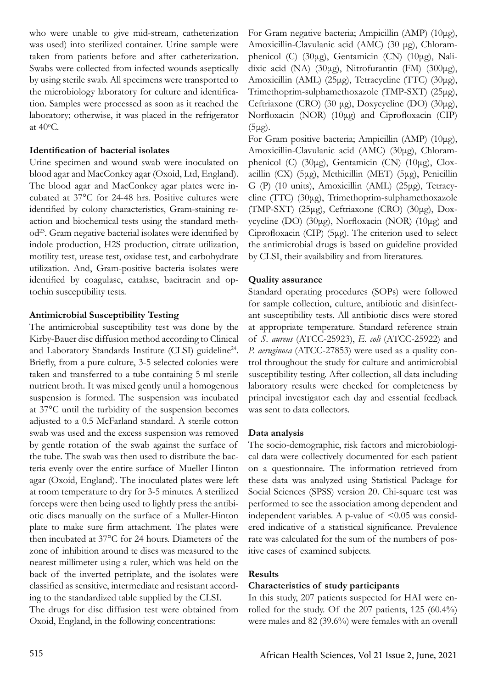who were unable to give mid-stream, catheterization was used) into sterilized container. Urine sample were taken from patients before and after catheterization. Swabs were collected from infected wounds aseptically by using sterile swab. All specimens were transported to the microbiology laboratory for culture and identification. Samples were processed as soon as it reached the laboratory; otherwise, it was placed in the refrigerator at 40o C.

# **Identification of bacterial isolates**

Urine specimen and wound swab were inoculated on blood agar and MacConkey agar (Oxoid, Ltd, England). The blood agar and MacConkey agar plates were incubated at 37°C for 24-48 hrs. Positive cultures were identified by colony characteristics, Gram-staining reaction and biochemical tests using the standard method23. Gram negative bacterial isolates were identified by indole production, H2S production, citrate utilization, motility test, urease test, oxidase test, and carbohydrate utilization. And, Gram-positive bacteria isolates were identified by coagulase, catalase, bacitracin and optochin susceptibility tests.

# **Antimicrobial Susceptibility Testing**

The antimicrobial susceptibility test was done by the Kirby-Bauer disc diffusion method according to Clinical and Laboratory Standards Institute (CLSI) guideline<sup>24</sup>. Briefly, from a pure culture, 3-5 selected colonies were taken and transferred to a tube containing 5 ml sterile nutrient broth. It was mixed gently until a homogenous suspension is formed. The suspension was incubated at 37°C until the turbidity of the suspension becomes adjusted to a 0.5 McFarland standard. A sterile cotton swab was used and the excess suspension was removed by gentle rotation of the swab against the surface of the tube. The swab was then used to distribute the bacteria evenly over the entire surface of Mueller Hinton agar (Oxoid, England). The inoculated plates were left at room temperature to dry for 3-5 minutes. A sterilized forceps were then being used to lightly press the antibiotic discs manually on the surface of a Muller-Hinton plate to make sure firm attachment. The plates were then incubated at 37°C for 24 hours. Diameters of the zone of inhibition around te discs was measured to the nearest millimeter using a ruler, which was held on the back of the inverted petriplate, and the isolates were classified as sensitive, intermediate and resistant according to the standardized table supplied by the CLSI. The drugs for disc diffusion test were obtained from Oxoid, England, in the following concentrations:

For Gram negative bacteria; Ampicillin (AMP) (10μg), Amoxicillin-Clavulanic acid (AMC) (30 μg), Chloramphenicol (C) (30μg), Gentamicin (CN) (10μg), Nalidixic acid (NA) (30μg), Nitrofurantin (FM) (300μg), Amoxicillin (AML) (25μg), Tetracycline (TTC) (30μg), Trimethoprim-sulphamethoxazole (TMP-SXT) (25μg), Ceftriaxone (CRO) (30 μg), Doxycycline (DO) (30μg), Norfloxacin (NOR) (10μg) and Ciprofloxacin (CIP) (5μg).

For Gram positive bacteria; Ampicillin (AMP) (10μg), Amoxicillin-Clavulanic acid (AMC) (30μg), Chloramphenicol (C) (30μg), Gentamicin (CN) (10μg), Cloxacillin (CX) (5μg), Methicillin (MET) (5μg), Penicillin G (P) (10 units), Amoxicillin (AML) (25μg), Tetracycline (TTC) (30μg), Trimethoprim-sulphamethoxazole (TMP-SXT) (25μg), Ceftriaxone (CRO) (30μg), Doxycycline (DO) (30μg), Norfloxacin (NOR) (10μg) and Ciprofloxacin (CIP) (5μg). The criterion used to select the antimicrobial drugs is based on guideline provided by CLSI, their availability and from literatures.

# **Quality assurance**

Standard operating procedures (SOPs) were followed for sample collection, culture, antibiotic and disinfectant susceptibility tests. All antibiotic discs were stored at appropriate temperature. Standard reference strain of *S. aureus* (ATCC-25923), *E. coli* (ATCC-25922) and *P. aeruginosa* (ATCC-27853) were used as a quality control throughout the study for culture and antimicrobial susceptibility testing. After collection, all data including laboratory results were checked for completeness by principal investigator each day and essential feedback was sent to data collectors.

# **Data analysis**

The socio-demographic, risk factors and microbiological data were collectively documented for each patient on a questionnaire. The information retrieved from these data was analyzed using Statistical Package for Social Sciences (SPSS) version 20. Chi-square test was performed to see the association among dependent and independent variables. A p-value of  $\leq 0.05$  was considered indicative of a statistical significance. Prevalence rate was calculated for the sum of the numbers of positive cases of examined subjects.

# **Results**

# **Characteristics of study participants**

In this study, 207 patients suspected for HAI were enrolled for the study. Of the 207 patients, 125 (60.4%) were males and 82 (39.6%) were females with an overall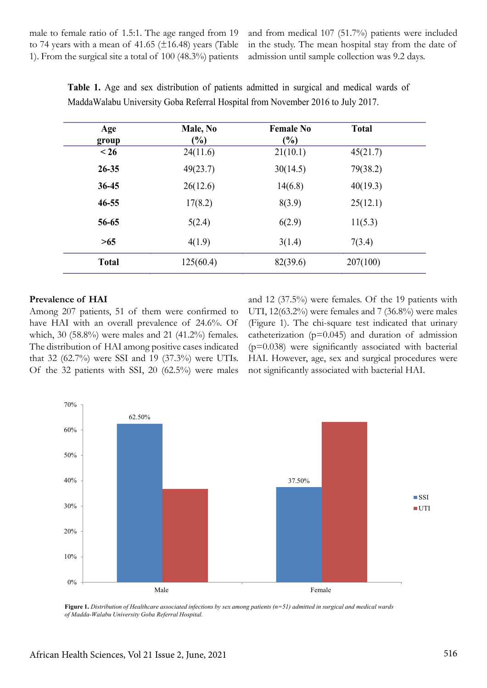male to female ratio of 1.5:1. The age ranged from 19 to 74 years with a mean of 41.65 ( $\pm$ 16.48) years (Table 1). From the surgical site a total of 100 (48.3%) patients

and from medical 107 (51.7%) patients were included in the study. The mean hospital stay from the date of admission until sample collection was 9.2 days.

| Age<br>group | Male, No<br>$\frac{6}{6}$ | <b>Female No</b><br>$(\%)$ | <b>Total</b> |
|--------------|---------------------------|----------------------------|--------------|
| $\leq 26$    | 24(11.6)                  | 21(10.1)                   | 45(21.7)     |
| $26 - 35$    | 49(23.7)                  | 30(14.5)                   | 79(38.2)     |
| $36 - 45$    | 26(12.6)                  | 14(6.8)                    | 40(19.3)     |
| $46 - 55$    | 17(8.2)                   | 8(3.9)                     | 25(12.1)     |
| 56-65        | 5(2.4)                    | 6(2.9)                     | 11(5.3)      |
| >65          | 4(1.9)                    | 3(1.4)                     | 7(3.4)       |
| <b>Total</b> | 125(60.4)                 | 82(39.6)                   | 207(100)     |

**Table 1.** Age and sex distribution of patients admitted in surgical and medical wards of MaddaWalabu University Goba Referral Hospital from November 2016 to July 2017.

### **Prevalence of HAI**

Among 207 patients, 51 of them were confirmed to have HAI with an overall prevalence of 24.6%. Of which, 30 (58.8%) were males and 21 (41.2%) females. The distribution of HAI among positive cases indicated that 32 (62.7%) were SSI and 19 (37.3%) were UTIs. Of the 32 patients with SSI, 20 (62.5%) were males and 12 (37.5%) were females. Of the 19 patients with UTI, 12(63.2%) were females and 7 (36.8%) were males (Figure 1). The chi-square test indicated that urinary catheterization  $(p=0.045)$  and duration of admission  $(p=0.038)$  were significantly associated with bacterial HAI. However, age, sex and surgical procedures were not significantly associated with bacterial HAI.



**Figure 1.** *Distribution of Healthcare associated infections by sex among patients (n=51) admitted in surgical and medical wards of Madda-Walabu University Goba Referral Hospital.*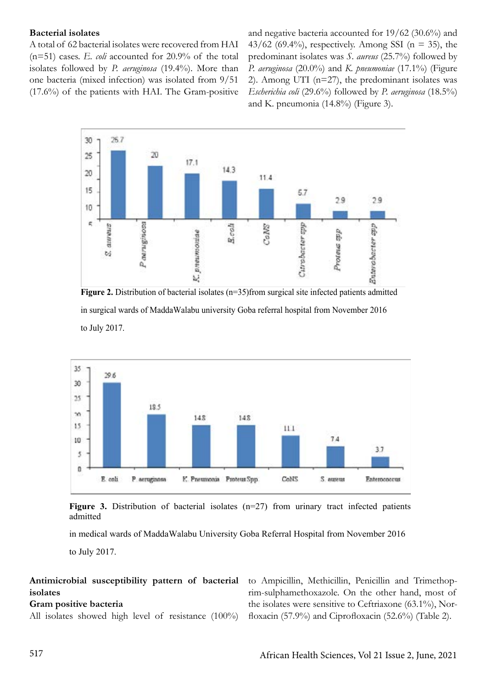### **Bacterial isolates**

A total of 62 bacterial isolates were recovered from HAI (n=51) cases. *E. coli* accounted for 20.9% of the total isolates followed by *P. aeruginosa* (19.4%). More than one bacteria (mixed infection) was isolated from 9/51 (17.6%) of the patients with HAI. The Gram-positive and negative bacteria accounted for 19/62 (30.6%) and  $43/62$  (69.4%), respectively. Among SSI (n = 35), the predominant isolates was *S. aureus* (25.7%) followed by *P. aeruginosa* (20.0%) and *K. pneumoniae* (17.1%) (Figure 2). Among UTI ( $n=27$ ), the predominant isolates was *Escherichia coli* (29.6%) followed by *P. aeruginosa* (18.5%) and K. pneumonia (14.8%) (Figure 3).



**Figure 2.** Distribution of bacterial isolates (n=35)from surgical site infected patients admitted in surgical wards of MaddaWalabu university Goba referral hospital from November 2016 to July 2017.



**Figure 3.** Distribution of bacterial isolates (n=27) from urinary tract infected patients admitted

in medical wards of MaddaWalabu University Goba Referral Hospital from November 2016 to July 2017.

# **Antimicrobial susceptibility pattern of bacterial isolates**

# **Gram positive bacteria**

All isolates showed high level of resistance (100%)

to Ampicillin, Methicillin, Penicillin and Trimethoprim-sulphamethoxazole. On the other hand, most of the isolates were sensitive to Ceftriaxone (63.1%), Norfloxacin (57.9%) and Ciprofloxacin (52.6%) (Table 2).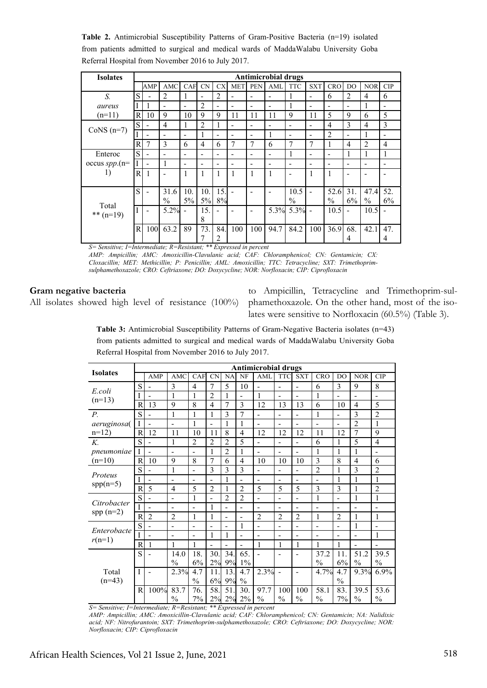**Table 2.** Antimicrobial Susceptibility Patterns of Gram-Positive Bacteria (n=19) isolated from patients admitted to surgical and medical wards of MaddaWalabu University Goba Referral Hospital from November 2016 to July 2017.

| <b>Isolates</b>       | <b>Antimicrobial drugs</b> |                          |                          |                          |       |                          |                              |                              |                              |                              |                          |                          |                          |                          |                              |
|-----------------------|----------------------------|--------------------------|--------------------------|--------------------------|-------|--------------------------|------------------------------|------------------------------|------------------------------|------------------------------|--------------------------|--------------------------|--------------------------|--------------------------|------------------------------|
|                       |                            | AMP                      | <b>AMC</b>               | CAF                      | CN    | <b>CX</b>                | <b>MET</b>                   | <b>PEN</b>                   | AML                          | <b>TTC</b>                   | <b>SXT</b>               | <b>CRO</b>               | D <sub>O</sub>           | <b>NOR</b>               | CIP                          |
| S.                    | S                          |                          | $\overline{2}$           | -1                       | -     | 2                        | $\qquad \qquad \blacksquare$ | $\qquad \qquad \blacksquare$ | $\overline{\phantom{a}}$     |                              | $\overline{\phantom{a}}$ | 6                        | $\overline{2}$           | $\overline{4}$           | 6                            |
| aureus                |                            |                          | $\blacksquare$           | $\blacksquare$           | 2     | $\overline{\phantom{0}}$ |                              |                              | $\qquad \qquad \blacksquare$ |                              | $\overline{\phantom{0}}$ | $\overline{\phantom{a}}$ | $\blacksquare$           |                          |                              |
| $(n=11)$              | $\mathbb{R}$               | 10                       | 9                        | 10                       | 9     | 9                        | 11                           | 11                           | 11                           | 9                            | 11                       | 5                        | 9                        | 6                        | 5                            |
| CoNS $(n=7)$          | S                          | $\overline{\phantom{0}}$ | $\overline{4}$           | 1                        | 2     | 1                        | $\overline{\phantom{a}}$     | $\overline{\phantom{0}}$     | ۰                            | $\overline{\phantom{a}}$     | $\overline{\phantom{a}}$ | $\overline{4}$           | 3                        | $\overline{4}$           | 3                            |
|                       |                            | $\overline{\phantom{0}}$ | $\overline{\phantom{0}}$ | $\blacksquare$           | 1     | $\overline{\phantom{0}}$ | $\qquad \qquad \blacksquare$ | $\overline{\phantom{0}}$     | 1                            | $\qquad \qquad \blacksquare$ | $\overline{\phantom{a}}$ | $\overline{2}$           | $\overline{\phantom{a}}$ |                          | $\qquad \qquad \blacksquare$ |
|                       | $\mathbf R$                | $\overline{7}$           | $\mathcal{E}$            | 6                        | 4     | 6                        | $\overline{7}$               | 7                            | 6                            | $\overline{7}$               | $\overline{7}$           | 1                        | 4                        | $\overline{2}$           | $\overline{4}$               |
| Enteroc               | S                          | $\overline{\phantom{0}}$ | $\overline{\phantom{0}}$ | $\overline{\phantom{0}}$ | -     | -                        | $\qquad \qquad \blacksquare$ | $\qquad \qquad \blacksquare$ | $\overline{\phantom{a}}$     |                              | $\overline{\phantom{a}}$ | $\overline{\phantom{a}}$ | 1                        | 1                        | 1                            |
| occus $spp.(n=$<br>1) |                            | $\blacksquare$           |                          | $\overline{\phantom{0}}$ | ۰     | -                        | $\blacksquare$               | $\overline{\phantom{0}}$     | $\overline{\phantom{0}}$     | $\overline{\phantom{0}}$     | $\overline{\phantom{0}}$ | $\overline{\phantom{a}}$ | $\overline{\phantom{a}}$ | $\overline{\phantom{a}}$ |                              |
|                       | $\mathsf{R}$               | $\mathbf{1}$             | $\overline{\phantom{0}}$ | 1                        | 1     | 1                        | 1                            | 1                            | 1                            | -                            | 1                        | 1                        | $\qquad \qquad$          | -                        |                              |
|                       |                            |                          |                          |                          |       |                          |                              |                              |                              |                              |                          |                          |                          |                          |                              |
| Total<br>** $(n=19)$  | S                          | $\overline{\phantom{0}}$ | 31.6                     | 10.                      | 10.   | 15.                      |                              | $\qquad \qquad \blacksquare$ | $\overline{\phantom{0}}$     | 10.5                         |                          | 52.6                     | 31.                      | 47.4                     | 52.                          |
|                       |                            |                          | $\frac{0}{0}$            | $5\%$                    | $5\%$ | 8%                       |                              |                              |                              | $\frac{0}{0}$                |                          | $\frac{0}{0}$            | 6%                       | $\frac{0}{0}$            | 6%                           |
|                       |                            | $\overline{\phantom{0}}$ | 5.2%                     |                          | 15.   |                          |                              |                              | 5.3%                         | $5.3\%$ -                    |                          | 10.5                     |                          | 10.5                     |                              |
|                       |                            |                          |                          |                          | 8     |                          |                              |                              |                              |                              |                          |                          |                          |                          |                              |
|                       | $\mathbb{R}$               | 100                      | 63.2                     | 89                       | 73.   | 84.                      | 100                          | 100                          | 94.7                         | 84.2                         | 100                      | 36.9                     | 68.                      | 42.1                     | 47.                          |
|                       |                            |                          |                          |                          | 7     | 2                        |                              |                              |                              |                              |                          |                          | 4                        |                          | 4                            |

*S= Sensitive; I=Intermediate; R=Resistant; \*\* Expressed in percent*

*AMP: Ampicillin; AMC: Amoxicillin-Clavulanic acid; CAF: Chloramphenicol; CN: Gentamicin; CX: Cloxacillin; MET: Methicillin; P: Penicillin; AML: Amoxicillin; TTC: Tetracycline; SXT: Trimethoprimsulphamethoxazole; CRO: Ceftriaxone; DO: Doxycycline; NOR: Norfloxacin; CIP: Ciprofloxacin*

#### **Gram negative bacteria**

All isolates showed high level of resistance (100%)

to Ampicillin, Tetracycline and Trimethoprim-sulphamethoxazole. On the other hand, most of the isolates were sensitive to Norfloxacin (60.5%) (Table 3).

**Table 3:** Antimicrobial Susceptibility Patterns of Gram-Negative Bacteria isolates (n=43) from patients admitted to surgical and medical wards of MaddaWalabu University Goba Referral Hospital from November 2016 to July 2017.

| <b>Isolates</b>                  | <b>Antimicrobial drugs</b> |                |                               |                              |                              |                          |                          |                          |                              |                              |                |                          |                          |                          |
|----------------------------------|----------------------------|----------------|-------------------------------|------------------------------|------------------------------|--------------------------|--------------------------|--------------------------|------------------------------|------------------------------|----------------|--------------------------|--------------------------|--------------------------|
|                                  |                            | AMP            | AMC                           | <b>CAF</b>                   | <b>CN</b>                    | NA                       | NF                       | AML                      | <b>TTC</b>                   | <b>SXT</b>                   | <b>CRO</b>     | D <sub>O</sub>           | <b>NOR</b>               | <b>CIP</b>               |
| E.coli<br>$(n=13)$               | S                          |                | 3                             | 4                            | $\overline{7}$               | 5                        | 10                       | L,                       | $\overline{\phantom{a}}$     | $\overline{\phantom{0}}$     | 6              | 3                        | 9                        | 8                        |
|                                  | I                          | Ξ.             | 1                             | 1                            | $\overline{2}$               | 1                        | $\overline{\phantom{a}}$ | 1                        | $\qquad \qquad \blacksquare$ | ÷,                           | 1              | $\blacksquare$           | $\overline{\phantom{a}}$ | $\overline{\phantom{0}}$ |
|                                  | R                          | 13             | 9                             | 8                            | $\overline{4}$               | 7                        | 3                        | 12                       | 13                           | 13                           | 6              | 10                       | $\overline{4}$           | 5                        |
| $P_{\cdot}$                      | S                          |                | 1                             | 1                            | 1                            | 3                        | 7                        | $\overline{a}$           | $\overline{\phantom{0}}$     |                              | $\mathbf{1}$   |                          | $\overline{3}$           | $\overline{2}$           |
| aeruginosa(                      | $\mathbf I$                |                | $\blacksquare$                | 1                            | L,                           | $\mathbf{1}$             | $\mathbf{1}$             |                          |                              |                              |                |                          | $\overline{2}$           | $\mathbf{1}$             |
| $n=12$                           | R                          | 12             | 11                            | 10                           | 11                           | 8                        | $\overline{4}$           | 12                       | 12                           | 12                           | 11             | 12                       | $\overline{7}$           | 9                        |
| K.                               | S                          |                | 1                             | $\overline{2}$               | $\overline{2}$               | $\overline{2}$           | 5                        | L,                       | $\overline{a}$               | $\overline{\phantom{0}}$     | 6              | 1                        | 5                        | $\overline{4}$           |
| pneumoniae                       | 1                          | $\overline{a}$ | $\overline{\phantom{a}}$      | $\qquad \qquad \blacksquare$ | 1                            | $\overline{2}$           | 1                        | L,                       | -                            | L.                           | 1              | 1                        | 1                        | ۰                        |
| $(n=10)$                         | $\overline{R}$             | 10             | 9                             | 8                            | $\overline{7}$               | 6                        | $\overline{4}$           | 10                       | 10                           | 10                           | 3              | 8                        | $\overline{4}$           | 6                        |
| Proteus<br>$spp(n=5)$            | S                          |                | $\mathbf{1}$                  | $\overline{\phantom{0}}$     | 3                            | 3                        | 3                        | $\overline{a}$           | $\overline{a}$               | $\overline{\phantom{0}}$     | $\overline{2}$ | 1                        | 3                        | $\overline{2}$           |
|                                  | I                          |                |                               |                              | $\overline{\phantom{0}}$     | $\mathbf{1}$             |                          |                          |                              |                              |                | 1                        | 1                        | 1                        |
|                                  | R                          | 5              | 4                             | 5                            | $\overline{2}$               | 1                        | $\overline{2}$           | 5                        | 5                            | 5                            | 3              | $\overline{3}$           | 1                        | $\overline{c}$           |
| Citrobacter                      | S                          |                | $\overline{a}$                | 1                            | ÷,                           | $\overline{2}$           | $\overline{2}$           | $\overline{a}$           | $\overline{\phantom{a}}$     | L.                           | 1              | $\overline{\phantom{0}}$ | 1                        | 1                        |
| $spp(n=2)$                       | I                          |                | $\overline{\phantom{a}}$      | $\overline{\phantom{0}}$     | 1                            | ۰                        | $\overline{\phantom{0}}$ | L,                       | $\overline{\phantom{0}}$     | $\qquad \qquad \blacksquare$ |                | $\overline{a}$           |                          | $\overline{\phantom{0}}$ |
|                                  | R                          | $\overline{2}$ | $\overline{2}$                | 1                            | 1                            | $\overline{\phantom{a}}$ | $\blacksquare$           | $\overline{2}$           | $\overline{2}$               | $\overline{2}$               | $\mathbf{1}$   | $\overline{2}$           | 1                        | $\mathbf{1}$             |
| Enterobacte<br>$r(n=1)$          | S                          |                | $\overline{\phantom{a}}$      | $\overline{\phantom{0}}$     | $\qquad \qquad \blacksquare$ | $\overline{\phantom{a}}$ | $\mathbf{1}$             | $\overline{\phantom{0}}$ | $\overline{\phantom{a}}$     | $\qquad \qquad \blacksquare$ | -              | $\overline{\phantom{a}}$ | 1                        | ۰                        |
|                                  | Ī                          |                | $\overline{\phantom{0}}$      |                              | 1                            | 1                        |                          |                          |                              |                              |                |                          |                          | 1                        |
|                                  | $\mathbf R$                | 1              | 1                             | 1                            | $\blacksquare$               | Ē,                       |                          | 1                        | 1                            | 1                            | 1              | 1                        |                          |                          |
| Total<br>$(n=43)$                | S                          |                | 14.0                          | 18.                          | 30                           | 34.                      | 65.                      | L,                       | ٠                            |                              | 37.2           | 11.                      | 51.2                     | 39.5                     |
|                                  |                            |                | $\frac{0}{0}$                 | 6%                           | 2%                           | 9%                       | $1\%$                    |                          |                              |                              | $\frac{0}{0}$  | 6%                       | $\frac{0}{0}$            | $\frac{0}{0}$            |
|                                  | I                          |                | 2.3%                          | 4.7                          | 11                           | 13.                      | 4.7                      | 2.3%                     |                              | $\overline{\phantom{0}}$     | 4.7%           | 4.7                      | 9.3%                     | 6.9%                     |
|                                  |                            |                |                               | $\frac{0}{0}$                | 6%                           | 9%                       | $\frac{0}{0}$            |                          |                              |                              |                | $\frac{0}{0}$            |                          |                          |
|                                  | $\overline{R}$             | 100%           | 83.7                          | 76.                          | 58.                          | 51                       | 30.                      | 97.7                     | 100                          | 100                          | 58.1           | 83.                      | 39.5                     | 53.6                     |
| $\sim$<br>$\sim$<br>$\mathbf{r}$ |                            | $\mathbf{r}$ . | $\frac{0}{0}$<br>$\mathbf{r}$ | 7%                           | 2%<br><b>35 35 TT</b>        | 2%                       | $2\%$                    | $\frac{0}{0}$            | $\frac{0}{0}$                | $\frac{0}{0}$                | $\frac{0}{0}$  | 7%                       | $\frac{0}{0}$            | $\frac{0}{0}$            |

*S= Sensitive; I=Intermediate; R=Resistant; \*\* Expressed in percent*

*AMP: Ampicillin; AMC: Amoxicillin-Clavulanic acid; CAF: Chloramphenicol; CN: Gentamicin; NA: Nalidixic acid; NF: Nitrofurantoin; SXT: Trimethoprim-sulphamethoxazole; CRO: Ceftriaxone; DO: Doxycycline; NOR: Norfloxacin; CIP: Ciprofloxacin*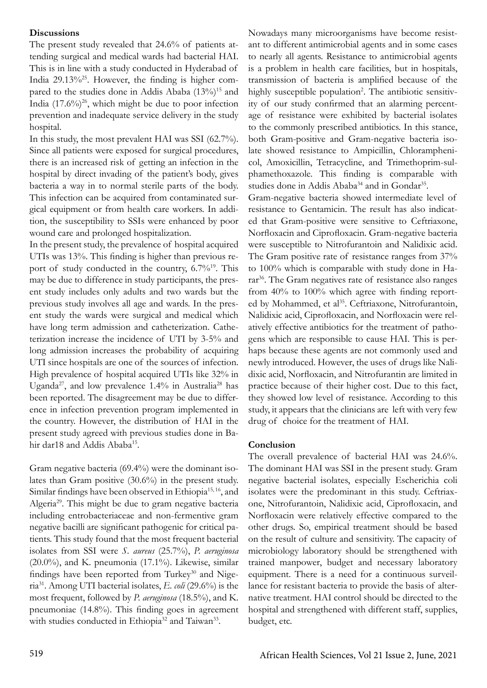### **Discussions**

The present study revealed that 24.6% of patients attending surgical and medical wards had bacterial HAI. This is in line with a study conducted in Hyderabad of India  $29.13\%$ <sup>25</sup>. However, the finding is higher compared to the studies done in Addis Ababa  $(13\%)^{15}$  and India  $(17.6\%)^{26}$ , which might be due to poor infection prevention and inadequate service delivery in the study hospital.

In this study, the most prevalent HAI was SSI (62.7%). Since all patients were exposed for surgical procedures, there is an increased risk of getting an infection in the hospital by direct invading of the patient's body, gives bacteria a way in to normal sterile parts of the body. This infection can be acquired from contaminated surgical equipment or from health care workers. In addition, the susceptibility to SSIs were enhanced by poor wound care and prolonged hospitalization.

In the present study, the prevalence of hospital acquired UTIs was 13%. This finding is higher than previous report of study conducted in the country, 6.7%19. This may be due to difference in study participants, the present study includes only adults and two wards but the previous study involves all age and wards. In the present study the wards were surgical and medical which have long term admission and catheterization. Catheterization increase the incidence of UTI by 3-5% and long admission increases the probability of acquiring UTI since hospitals are one of the sources of infection. High prevalence of hospital acquired UTIs like 32% in Uganda<sup>27</sup>, and low prevalence  $1.4\%$  in Australia<sup>28</sup> has been reported. The disagreement may be due to difference in infection prevention program implemented in the country. However, the distribution of HAI in the present study agreed with previous studies done in Bahir dar18 and Addis Ababa<sup>15</sup>.

Gram negative bacteria (69.4%) were the dominant isolates than Gram positive (30.6%) in the present study. Similar findings have been observed in Ethiopia<sup>15, 16</sup>, and Algeria<sup>29</sup>. This might be due to gram negative bacteria including entrobacteriaceae and non-fermentive gram negative bacilli are significant pathogenic for critical patients. This study found that the most frequent bacterial isolates from SSI were *S. aureus* (25.7%), *P. aeruginosa* (20.0%), and K. pneumonia (17.1%). Likewise, similar findings have been reported from Turkey $30$  and Nigeria31. Among UTI bacterial isolates, *E. coli* (29.6%) is the most frequent, followed by *P. aeruginosa* (18.5%), and K. pneumoniae (14.8%). This finding goes in agreement with studies conducted in Ethiopia<sup>32</sup> and Taiwan<sup>33</sup>.

Nowadays many microorganisms have become resistant to different antimicrobial agents and in some cases to nearly all agents. Resistance to antimicrobial agents is a problem in health care facilities, but in hospitals, transmission of bacteria is amplified because of the highly susceptible population<sup>2</sup>. The antibiotic sensitivity of our study confirmed that an alarming percentage of resistance were exhibited by bacterial isolates to the commonly prescribed antibiotics. In this stance, both Gram-positive and Gram-negative bacteria isolate showed resistance to Ampicillin, Chloramphenicol, Amoxicillin, Tetracycline, and Trimethoprim-sulphamethoxazole. This finding is comparable with studies done in Addis Ababa<sup>34</sup> and in Gondar<sup>35</sup>.

Gram-negative bacteria showed intermediate level of resistance to Gentamicin. The result has also indicated that Gram-positive were sensitive to Ceftriaxone, Norfloxacin and Ciprofloxacin. Gram-negative bacteria were susceptible to Nitrofurantoin and Nalidixic acid. The Gram positive rate of resistance ranges from 37% to 100% which is comparable with study done in Harar<sup>36</sup>. The Gram negatives rate of resistance also ranges from 40% to 100% which agree with finding reported by Mohammed, et al<sup>35</sup>. Ceftriaxone, Nitrofurantoin, Nalidixic acid, Ciprofloxacin, and Norfloxacin were relatively effective antibiotics for the treatment of pathogens which are responsible to cause HAI. This is perhaps because these agents are not commonly used and newly introduced. However, the uses of drugs like Nalidixic acid, Norfloxacin, and Nitrofurantin are limited in practice because of their higher cost. Due to this fact, they showed low level of resistance. According to this study, it appears that the clinicians are left with very few drug of choice for the treatment of HAI.

# **Conclusion**

The overall prevalence of bacterial HAI was 24.6%. The dominant HAI was SSI in the present study. Gram negative bacterial isolates, especially Escherichia coli isolates were the predominant in this study. Ceftriaxone, Nitrofurantoin, Nalidixic acid, Ciprofloxacin, and Norfloxacin were relatively effective compared to the other drugs. So, empirical treatment should be based on the result of culture and sensitivity. The capacity of microbiology laboratory should be strengthened with trained manpower, budget and necessary laboratory equipment. There is a need for a continuous surveillance for resistant bacteria to provide the basis of alternative treatment. HAI control should be directed to the hospital and strengthened with different staff, supplies, budget, etc.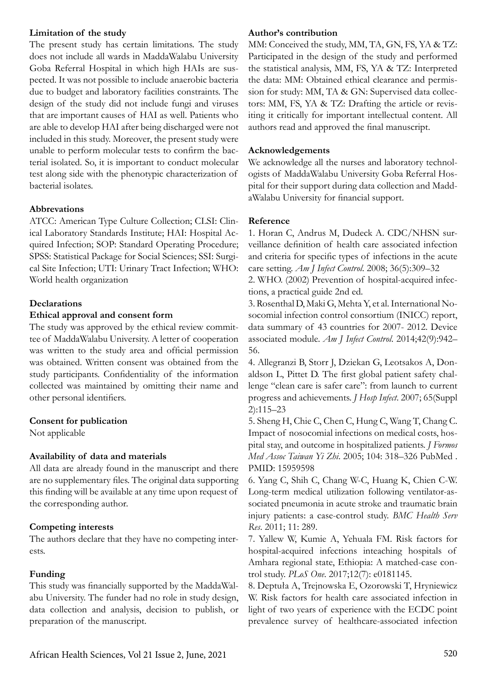### **Limitation of the study**

The present study has certain limitations. The study does not include all wards in MaddaWalabu University Goba Referral Hospital in which high HAIs are suspected. It was not possible to include anaerobic bacteria due to budget and laboratory facilities constraints. The design of the study did not include fungi and viruses that are important causes of HAI as well. Patients who are able to develop HAI after being discharged were not included in this study. Moreover, the present study were unable to perform molecular tests to confirm the bacterial isolated. So, it is important to conduct molecular test along side with the phenotypic characterization of bacterial isolates.

# **Abbrevations**

ATCC: American Type Culture Collection; CLSI: Clinical Laboratory Standards Institute; HAI: Hospital Acquired Infection; SOP: Standard Operating Procedure; SPSS: Statistical Package for Social Sciences; SSI: Surgical Site Infection; UTI: Urinary Tract Infection; WHO: World health organization

# **Declarations**

# **Ethical approval and consent form**

The study was approved by the ethical review committee of MaddaWalabu University. A letter of cooperation was written to the study area and official permission was obtained. Written consent was obtained from the study participants. Confidentiality of the information collected was maintained by omitting their name and other personal identifiers.

# **Consent for publication**

Not applicable

# **Availability of data and materials**

All data are already found in the manuscript and there are no supplementary files. The original data supporting this finding will be available at any time upon request of the corresponding author.

# **Competing interests**

The authors declare that they have no competing interests.

# **Funding**

This study was financially supported by the MaddaWalabu University. The funder had no role in study design, data collection and analysis, decision to publish, or preparation of the manuscript.

### **Author's contribution**

MM: Conceived the study, MM, TA, GN, FS, YA & TZ: Participated in the design of the study and performed the statistical analysis, MM, FS, YA & TZ: Interpreted the data: MM: Obtained ethical clearance and permission for study: MM, TA & GN: Supervised data collectors: MM, FS, YA & TZ: Drafting the article or revisiting it critically for important intellectual content. All authors read and approved the final manuscript.

### **Acknowledgements**

We acknowledge all the nurses and laboratory technologists of MaddaWalabu University Goba Referral Hospital for their support during data collection and MaddaWalabu University for financial support.

### **Reference**

1. Horan C, Andrus M, Dudeck A. CDC/NHSN surveillance definition of health care associated infection and criteria for specific types of infections in the acute care setting. *Am J Infect Control*. 2008; 36(5):309–32

2. WHO. (2002) Prevention of hospital-acquired infections, a practical guide 2nd ed.

3. Rosenthal D, Maki G, Mehta Y, et al. International Nosocomial infection control consortium (INICC) report, data summary of 43 countries for 2007- 2012. Device associated module. *Am J Infect Control*. 2014;42(9):942– 56.

4. Allegranzi B, Storr J, Dziekan G, Leotsakos A, Donaldson L, Pittet D. The first global patient safety challenge "clean care is safer care": from launch to current progress and achievements. *J Hosp Infect*. 2007; 65(Suppl 2):115–23

5. Sheng H, Chie C, Chen C, Hung C, Wang T, Chang C. Impact of nosocomial infections on medical costs, hospital stay, and outcome in hospitalized patients. *J Formos Med Assoc Taiwan Yi Zhi*. 2005; 104: 318–326 PubMed . PMID: 15959598

6. Yang C, Shih C, Chang W-C, Huang K, Chien C-W. Long-term medical utilization following ventilator-associated pneumonia in acute stroke and traumatic brain injury patients: a case-control study. *BMC Health Serv Res*. 2011; 11: 289.

7. Yallew W, Kumie A, Yehuala FM. Risk factors for hospital-acquired infections inteaching hospitals of Amhara regional state, Ethiopia: A matched-case control study. *PLoS One*. 2017;12(7): e0181145.

8. Deptuła A, Trejnowska E, Ozorowski T, Hryniewicz W. Risk factors for health care associated infection in light of two years of experience with the ECDC point prevalence survey of healthcare-associated infection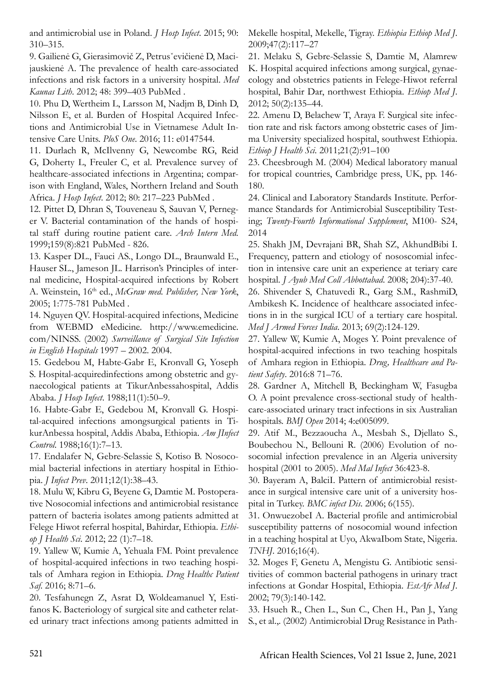and antimicrobial use in Poland. *J Hosp Infect*. 2015; 90: 310–315.

9. Gailienė G, Gierasimovič Z, Petrusˇevičienė D, Macijauskienė A. The prevalence of health care-associated infections and risk factors in a university hospital. *Med Kaunas Lith*. 2012; 48: 399–403 PubMed .

10. Phu D, Wertheim L, Larsson M, Nadjm B, Dinh D, Nilsson E, et al. Burden of Hospital Acquired Infections and Antimicrobial Use in Vietnamese Adult Intensive Care Units. *PloS One*. 2016; 11: e0147544.

11. Durlach R, McIlvenny G, Newcombe RG, Reid G, Doherty L, Freuler C, et al. Prevalence survey of healthcare-associated infections in Argentina; comparison with England, Wales, Northern Ireland and South Africa. *J Hosp Infect*. 2012; 80: 217–223 PubMed .

12. Pittet D, Dhran S, Touveneau S, Sauvan V, Perneger V. Bacterial contamination of the hands of hospital staff during routine patient care. *Arch Intern Med.*  1999;159(8):821 PubMed - 826.

13. Kasper DL., Fauci AS., Longo DL., Braunwald E., Hauser SL., Jameson JL. Harrison's Principles of internal medicine, Hospital-acquired infections by Robert A. Weinstein, 16th ed., *McGraw med. Publisher, New York*, 2005; 1:775-781 PubMed .

14. Nguyen QV. Hospital-acquired infections, Medicine from WEBMD eMedicine. http://www.emedicine. com/NINSS. (2002) *Surveillance of Surgical Site Infection in English Hospitals* 1997 – 2002. 2004.

15. Gedebou M, Habte-Gabr E, Kronvall G, Yoseph S. Hospital-acquiredinfections among obstetric and gynaecological patients at TikurAnbessahospital, Addis Ababa. *J Hosp Infect*. 1988;11(1):50–9.

16. Habte-Gabr E, Gedebou M, Kronvall G. Hospital-acquired infections amongsurgical patients in TikurAnbessa hospital, Addis Ababa, Ethiopia. *Am JInfect Control*. 1988;16(1):7–13.

17. Endalafer N, Gebre-Selassie S, Kotiso B. Nosocomial bacterial infections in atertiary hospital in Ethiopia. *J Infect Prev*. 2011;12(1):38–43.

18. Mulu W, Kibru G, Beyene G, Damtie M. Postoperative Nosocomial infections and antimicrobial resistance pattern of bacteria isolates among patients admitted at Felege Hiwot referral hospital, Bahirdar, Ethiopia. *Ethiop J Health Sci*. 2012; 22 (1):7–18.

19. Yallew W, Kumie A, Yehuala FM. Point prevalence of hospital-acquired infections in two teaching hospitals of Amhara region in Ethiopia. *Drug Healthc Patient Saf*. 2016; 8:71–6.

20. Tesfahunegn Z, Asrat D, Woldeamanuel Y, Estifanos K. Bacteriology of surgical site and catheter related urinary tract infections among patients admitted in Mekelle hospital, Mekelle, Tigray. *Ethiopia Ethiop Med J*. 2009;47(2):117–27

21. Melaku S, Gebre-Selassie S, Damtie M, Alamrew K. Hospital acquired infections among surgical, gynaecology and obstetrics patients in Felege-Hiwot referral hospital, Bahir Dar, northwest Ethiopia. *Ethiop Med J*. 2012; 50(2):135–44.

22. Amenu D, Belachew T, Araya F. Surgical site infection rate and risk factors among obstetric cases of Jimma University specialized hospital, southwest Ethiopia. *Ethiop J Health Sci*. 2011;21(2):91–100

23. Cheesbrough M. (2004) Medical laboratory manual for tropical countries, Cambridge press, UK, pp. 146- 180.

24. Clinical and Laboratory Standards Institute. Performance Standards for Antimicrobial Susceptibility Testing; *Twenty-Fourth Informational Supplement*, M100- S24, 2014

25. Shakh JM, Devrajani BR, Shah SZ, AkhundBibi I. Frequency, pattern and etiology of nososcomial infection in intensive care unit an experience at teriary care hospital. *J Ayub Med Coll Abbottabad*. 2008; 204):37-40.

26. Shivender S, Chatuvedi R., Garg S.M., RashmiD, Ambikesh K. Incidence of healthcare associated infections in in the surgical ICU of a tertiary care hospital. *Med J Armed Forces India*. 2013; 69(2):124-129.

27. Yallew W, Kumie A, Moges Y. Point prevalence of hospital-acquired infections in two teaching hospitals of Amhara region in Ethiopia. *Drug, Healthcare and Patient Safety*. 2016:8 71–76.

28. Gardner A, Mitchell B, Beckingham W, Fasugba O. A point prevalence cross-sectional study of healthcare-associated urinary tract infections in six Australian hospitals. *BMJ Open* 2014; 4:e005099.

29. Atif M., Bezzaoucha A., Mesbah S., Djellato S., Boubechou N., Bellouni R. (2006) Evolution of nosocomial infection prevalence in an Algeria university hospital (2001 to 2005). *Med Mal Infect* 36:423-8.

30. Bayeram A, BalciI. Pattern of antimicrobial resistance in surgical intensive care unit of a university hospital in Turkey. *BMC infect Dis*. 2006; 6(155).

31. OnwuezobeI A. Bacterial profile and antimicrobial susceptibility patterns of nosocomial wound infection in a teaching hospital at Uyo, AkwaIbom State, Nigeria. *TNHJ*. 2016;16(4).

32. Moges F, Genetu A, Mengistu G. Antibiotic sensitivities of common bacterial pathogens in urinary tract infections at Gondar Hospital, Ethiopia. *EstAfr Med J*. 2002; 79(3):140-142.

33. Hsueh R., Chen L., Sun C., Chen H., Pan J., Yang S., et al.,. (2002) Antimicrobial Drug Resistance in Path